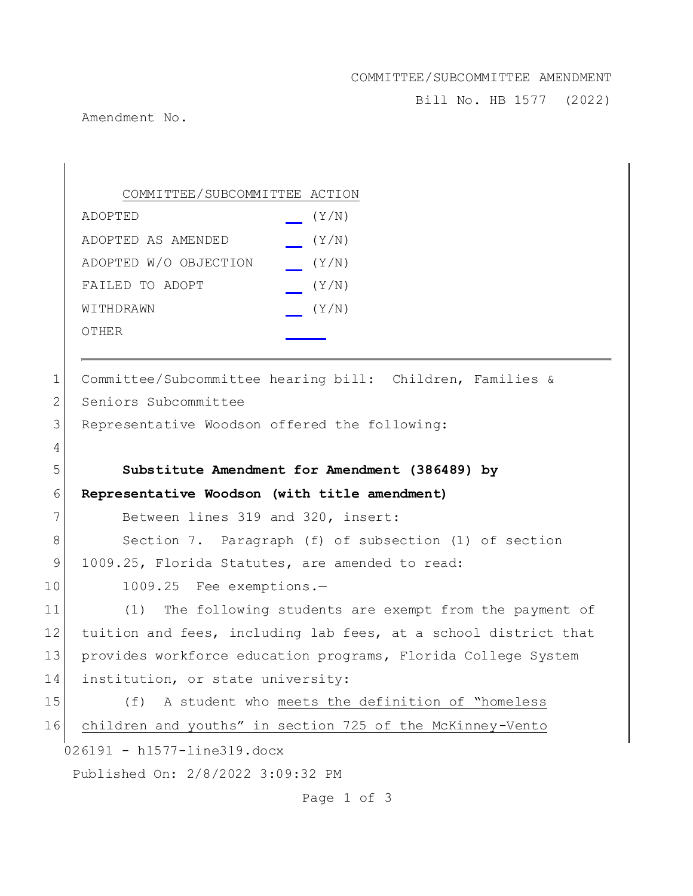# COMMITTEE/SUBCOMMITTEE AMENDMENT

Bill No. HB 1577 (2022)

Amendment No.

|             | COMMITTEE/SUBCOMMITTEE ACTION                                   |
|-------------|-----------------------------------------------------------------|
|             | ADOPTED<br>(Y/N)                                                |
|             | ADOPTED AS AMENDED<br>(Y/N)                                     |
|             | ADOPTED W/O OBJECTION<br>(Y/N)                                  |
|             | FAILED TO ADOPT<br>(Y/N)                                        |
|             | (Y/N)<br>WITHDRAWN                                              |
|             | OTHER                                                           |
|             |                                                                 |
| 1           | Committee/Subcommittee hearing bill: Children, Families &       |
| 2           | Seniors Subcommittee                                            |
| 3           | Representative Woodson offered the following:                   |
| 4           |                                                                 |
| 5           | Substitute Amendment for Amendment (386489) by                  |
| 6           | Representative Woodson (with title amendment)                   |
| 7           | Between lines 319 and 320, insert:                              |
| 8           | Section 7. Paragraph (f) of subsection (1) of section           |
| $\mathsf 9$ | 1009.25, Florida Statutes, are amended to read:                 |
| 10          | 1009.25 Fee exemptions.-                                        |
| 11          | The following students are exempt from the payment of<br>(1)    |
| 12          | tuition and fees, including lab fees, at a school district that |
| 13          | provides workforce education programs, Florida College System   |
| 14          | institution, or state university:                               |
| 15          | A student who meets the definition of "homeless<br>(f)          |
| 16          | children and youths" in section 725 of the McKinney-Vento       |
|             | 026191 - h1577-line319.docx                                     |
|             | Published On: 2/8/2022 3:09:32 PM                               |
|             | Page 1 of 3                                                     |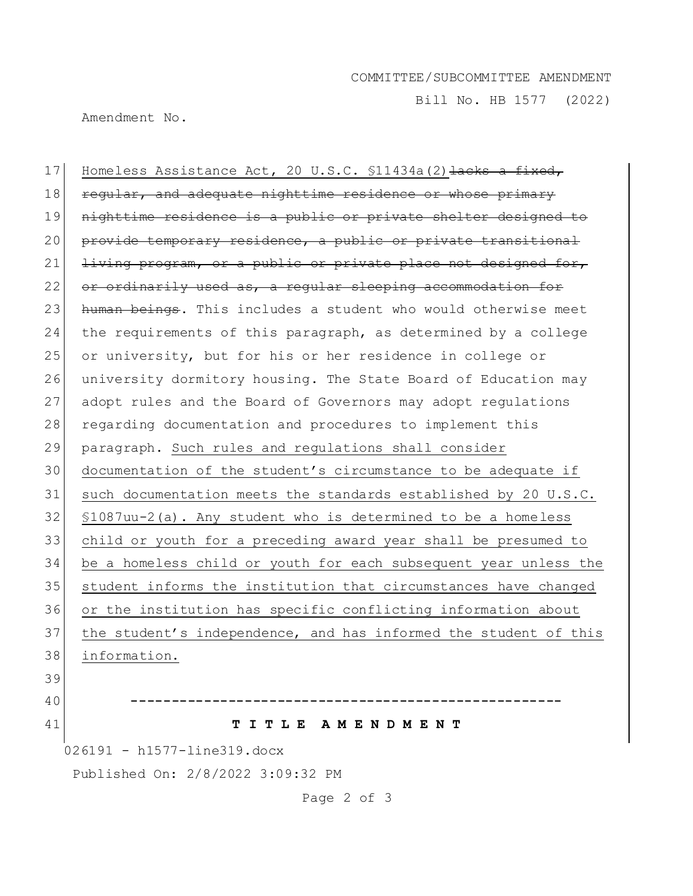#### COMMITTEE/SUBCOMMITTEE AMENDMENT

Bill No. HB 1577 (2022)

Amendment No.

17 Homeless Assistance Act, 20 U.S.C. \$11434a(2) Hacks a fixed, 18 regular, and adequate nighttime residence or whose primary 19 nighttime residence is a public or private shelter designed to 20 provide temporary residence, a public or private transitional 21  $l$  living program, or a public or private place not designed for, 22 or ordinarily used as, a regular sleeping accommodation for 23 human beings. This includes a student who would otherwise meet 24 the requirements of this paragraph, as determined by a college 25 or university, but for his or her residence in college or 26 university dormitory housing. The State Board of Education may 27 adopt rules and the Board of Governors may adopt regulations 28 regarding documentation and procedures to implement this 29 paragraph. Such rules and regulations shall consider 30 documentation of the student's circumstance to be adequate if 31 such documentation meets the standards established by 20 U.S.C. 32 §1087uu-2(a). Any student who is determined to be a homeless 33 child or youth for a preceding award year shall be presumed to 34 be a homeless child or youth for each subsequent year unless the 35 | student informs the institution that circumstances have changed 36 or the institution has specific conflicting information about 37 the student's independence, and has informed the student of this 38 information. 39 40 **-----------------------------------------------------** 41 **T I T L E A M E N D M E N T**

026191 - h1577-line319.docx

Published On: 2/8/2022 3:09:32 PM

Page 2 of 3